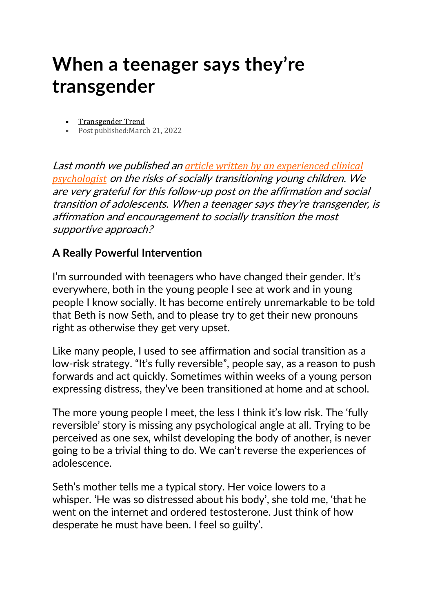## **When a teenager says they're transgender**

- [Transgender](https://www.transgendertrend.com/author/stephanieda/) Trend
- Post published:March 21, 2022

Last month we published an *article written by an [experienced](https://www.transgendertrend.com/childhood-social-transition/) clinical [psychologist](https://www.transgendertrend.com/childhood-social-transition/)* on the risks of socially transitioning young children. We are very grateful for this follow-up post on the affirmation and social transition of adolescents. When <sup>a</sup> teenager says they're transgender, is affirmation and encouragement to socially transition the most supportive approach?

## **A Really Powerful Intervention**

I'm surrounded with teenagers who have changed their gender. It's everywhere, both in the young people I see at work and in young people I know socially. It has become entirely unremarkable to be told that Beth is now Seth, and to please try to get their new pronouns right as otherwise they get very upset.

Like many people, I used to see affirmation and social transition as a low-risk strategy. "It's fully reversible", people say, as a reason to push forwards and act quickly. Sometimes within weeks of a young person expressing distress, they've been transitioned at home and at school.

The more young people I meet, the less I think it's low risk. The 'fully reversible' story is missing any psychological angle at all. Trying to be perceived as one sex, whilst developing the body of another, is never going to be a trivial thing to do. We can't reverse the experiences of adolescence.

Seth's mother tells me a typical story. Her voice lowers to a whisper. 'He was so distressed about his body', she told me, 'that he went on the internet and ordered testosterone. Just think of how desperate he must have been. I feel so guilty'.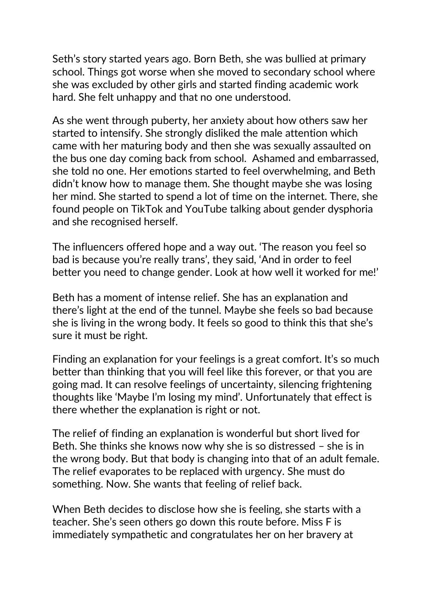Seth's story started years ago. Born Beth, she was bullied at primary school. Things got worse when she moved to secondary school where she was excluded by other girls and started finding academic work hard. She felt unhappy and that no one understood.

As she went through puberty, her anxiety about how others saw her started to intensify. She strongly disliked the male attention which came with her maturing body and then she was sexually assaulted on the bus one day coming back from school. Ashamed and embarrassed, she told no one. Her emotions started to feel overwhelming, and Beth didn't know how to manage them. She thought maybe she was losing her mind. She started to spend a lot of time on the internet. There, she found people on TikTok and YouTube talking about gender dysphoria and she recognised herself.

The influencers offered hope and a way out. 'The reason you feel so bad is because you're really trans', they said, 'And in order to feel better you need to change gender. Look at how well it worked for me!'

Beth has a moment of intense relief. She has an explanation and there's light at the end of the tunnel. Maybe she feels so bad because she is living in the wrong body. It feels so good to think this that she's sure it must be right.

Finding an explanation for your feelings is a great comfort. It's so much better than thinking that you will feel like this forever, or that you are going mad. It can resolve feelings of uncertainty, silencing frightening thoughts like 'Maybe I'm losing my mind'. Unfortunately that effect is there whether the explanation is right or not.

The relief of finding an explanation is wonderful but short lived for Beth. She thinks she knows now why she is so distressed – she is in the wrong body. But that body is changing into that of an adult female. The relief evaporates to be replaced with urgency. She must do something. Now. She wants that feeling of relief back.

When Beth decides to disclose how she is feeling, she starts with a teacher. She's seen others go down this route before. Miss F is immediately sympathetic and congratulates her on her bravery at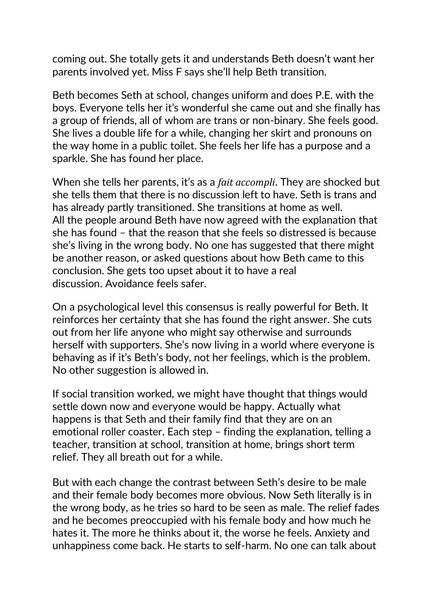coming out. She totally gets it and understands Beth doesn't want her parents involved yet. Miss F says she'll help Beth transition.

Beth becomes Seth at school, changes uniform and does P.E. with the boys. Everyone tells her it's wonderful she came out and she finally has a group of friends, all of whom are trans or non-binary. She feels good. She lives a double life for a while, changing her skirt and pronouns on the way home in a public toilet. She feels her life has a purpose and a sparkle. She has found her place.

When she tells her parents, it's as a *fait accompli*. They are shocked but she tells them that there is no discussion left to have. Seth is trans and has already partly transitioned. She transitions at home as well. All the people around Beth have now agreed with the explanation that she has found – that the reason that she feels so distressed is because she's living in the wrong body. No one has suggested that there might be another reason, or asked questions about how Beth came to this conclusion. She gets too upset about it to have a real discussion. Avoidance feels safer.

On a psychological level this consensus is really powerful for Beth. It reinforces her certainty that she has found the right answer. She cuts out from her life anyone who might say otherwise and surrounds herself with supporters. She's now living in a world where everyone is behaving as if it's Beth's body, not her feelings, which is the problem. No other suggestion is allowed in.

If social transition worked, we might have thought that things would settle down now and everyone would be happy. Actually what happens is that Seth and their family find that they are on an emotional roller coaster. Each step – finding the explanation, telling a teacher, transition at school, transition at home, brings short term relief. They all breath out for a while.

But with each change the contrast between Seth's desire to be male and their female body becomes more obvious. Now Seth literally is in the wrong body, as he tries so hard to be seen as male. The relief fades and he becomes preoccupied with his female body and how much he hates it. The more he thinks about it, the worse he feels. Anxiety and unhappiness come back. He starts to self-harm. No one can talk about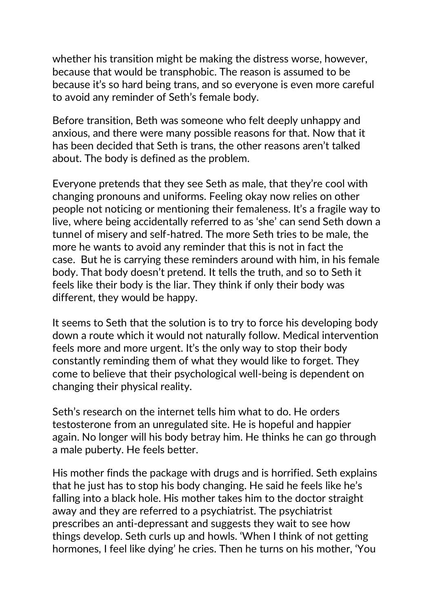whether his transition might be making the distress worse, however, because that would be transphobic. The reason is assumed to be because it's so hard being trans, and so everyone is even more careful to avoid any reminder of Seth's female body.

Before transition, Beth was someone who felt deeply unhappy and anxious, and there were many possible reasons for that. Now that it has been decided that Seth is trans, the other reasons aren't talked about. The body is defined as the problem.

Everyone pretends that they see Seth as male, that they're cool with changing pronouns and uniforms. Feeling okay now relies on other people not noticing or mentioning their femaleness. It's a fragile way to live, where being accidentally referred to as 'she' can send Seth down a tunnel of misery and self-hatred. The more Seth tries to be male, the more he wants to avoid any reminder that this is not in fact the case. But he is carrying these reminders around with him, in his female body. That body doesn't pretend. It tells the truth, and so to Seth it feels like their body is the liar. They think if only their body was different, they would be happy.

It seems to Seth that the solution is to try to force his developing body down a route which it would not naturally follow. Medical intervention feels more and more urgent. It's the only way to stop their body constantly reminding them of what they would like to forget. They come to believe that their psychological well-being is dependent on changing their physical reality.

Seth's research on the internet tells him what to do. He orders testosterone from an unregulated site. He is hopeful and happier again. No longer will his body betray him. He thinks he can go through a male puberty. He feels better.

His mother finds the package with drugs and is horrified. Seth explains that he just has to stop his body changing. He said he feels like he's falling into a black hole. His mother takes him to the doctor straight away and they are referred to a psychiatrist. The psychiatrist prescribes an anti-depressant and suggests they wait to see how things develop. Seth curls up and howls. 'When I think of not getting hormones, I feel like dying' he cries. Then he turns on his mother, 'You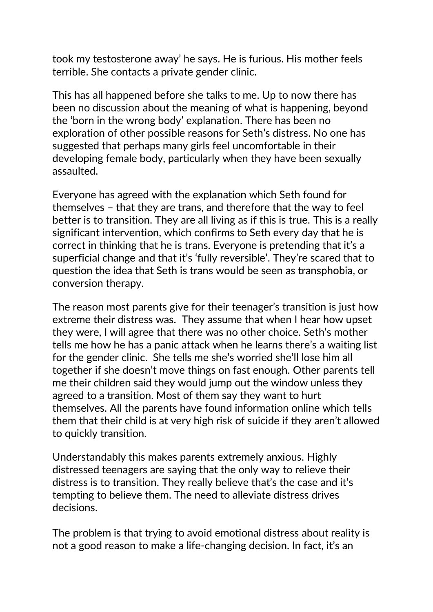took my testosterone away' he says. He is furious. His mother feels terrible. She contacts a private gender clinic.

This has all happened before she talks to me. Up to now there has been no discussion about the meaning of what is happening, beyond the 'born in the wrong body' explanation. There has been no exploration of other possible reasons for Seth's distress. No one has suggested that perhaps many girls feel uncomfortable in their developing female body, particularly when they have been sexually assaulted.

Everyone has agreed with the explanation which Seth found for themselves – that they are trans, and therefore that the way to feel better is to transition. They are all living as if this is true. This is a really significant intervention, which confirms to Seth every day that he is correct in thinking that he is trans. Everyone is pretending that it's a superficial change and that it's 'fully reversible'. They're scared that to question the idea that Seth is trans would be seen as transphobia, or conversion therapy.

The reason most parents give for their teenager's transition is just how extreme their distress was. They assume that when I hear how upset they were, I will agree that there was no other choice. Seth's mother tells me how he has a panic attack when he learns there's a waiting list for the gender clinic. She tells me she's worried she'll lose him all together if she doesn't move things on fast enough. Other parents tell me their children said they would jump out the window unless they agreed to a transition. Most of them say they want to hurt themselves. All the parents have found information online which tells them that their child is at very high risk of suicide if they aren't allowed to quickly transition.

Understandably this makes parents extremely anxious. Highly distressed teenagers are saying that the only way to relieve their distress is to transition. They really believe that's the case and it's tempting to believe them. The need to alleviate distress drives decisions.

The problem is that trying to avoid emotional distress about reality is not a good reason to make a life-changing decision. In fact, it's an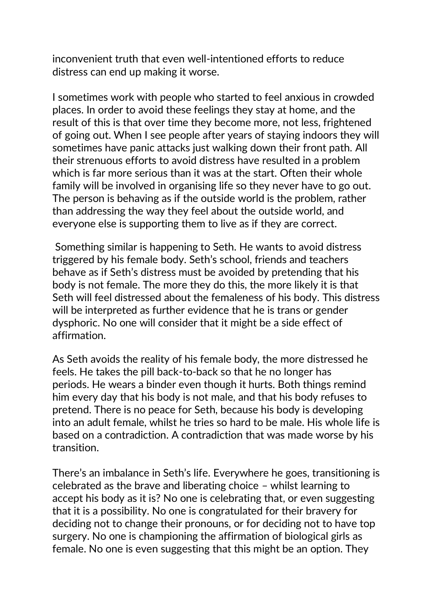inconvenient truth that even well-intentioned efforts to reduce distress can end up making it worse.

I sometimes work with people who started to feel anxious in crowded places. In order to avoid these feelings they stay at home, and the result of this is that over time they become more, not less, frightened of going out. When I see people after years of staying indoors they will sometimes have panic attacks just walking down their front path. All their strenuous efforts to avoid distress have resulted in a problem which is far more serious than it was at the start. Often their whole family will be involved in organising life so they never have to go out. The person is behaving as if the outside world is the problem, rather than addressing the way they feel about the outside world, and everyone else is supporting them to live as if they are correct.

Something similar is happening to Seth. He wants to avoid distress triggered by his female body. Seth's school, friends and teachers behave as if Seth's distress must be avoided by pretending that his body is not female. The more they do this, the more likely it is that Seth will feel distressed about the femaleness of his body. This distress will be interpreted as further evidence that he is trans or gender dysphoric. No one will consider that it might be a side effect of affirmation.

As Seth avoids the reality of his female body, the more distressed he feels. He takes the pill back-to-back so that he no longer has periods. He wears a binder even though it hurts. Both things remind him every day that his body is not male, and that his body refuses to pretend. There is no peace for Seth, because his body is developing into an adult female, whilst he tries so hard to be male. His whole life is based on a contradiction. A contradiction that was made worse by his transition.

There's an imbalance in Seth's life. Everywhere he goes, transitioning is celebrated as the brave and liberating choice – whilst learning to accept his body as it is? No one is celebrating that, or even suggesting that it is a possibility. No one is congratulated for their bravery for deciding not to change their pronouns, or for deciding not to have top surgery. No one is championing the affirmation of biological girls as female. No one is even suggesting that this might be an option. They